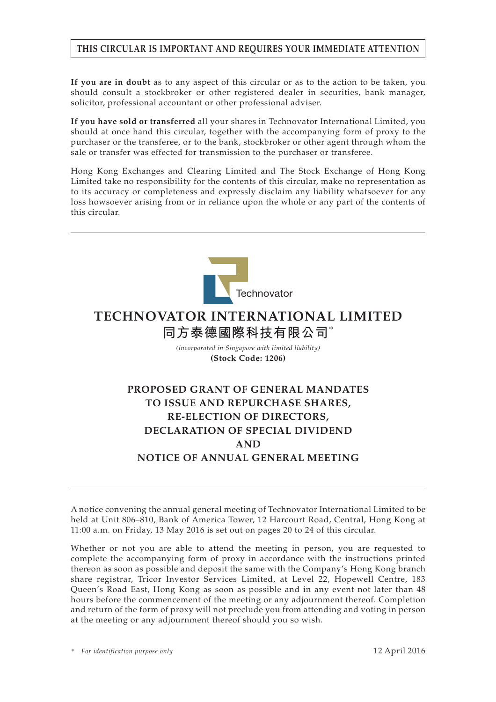# **THIS CIRCULAR IS IMPORTANT AND REQUIRES YOUR IMMEDIATE ATTENTION**

**If you are in doubt** as to any aspect of this circular or as to the action to be taken, you should consult a stockbroker or other registered dealer in securities, bank manager, solicitor, professional accountant or other professional adviser.

**If you have sold or transferred** all your shares in Technovator International Limited, you should at once hand this circular, together with the accompanying form of proxy to the purchaser or the transferee, or to the bank, stockbroker or other agent through whom the sale or transfer was effected for transmission to the purchaser or transferee.

Hong Kong Exchanges and Clearing Limited and The Stock Exchange of Hong Kong Limited take no responsibility for the contents of this circular, make no representation as to its accuracy or completeness and expressly disclaim any liability whatsoever for any loss howsoever arising from or in reliance upon the whole or any part of the contents of this circular.



A notice convening the annual general meeting of Technovator International Limited to be held at Unit 806–810, Bank of America Tower, 12 Harcourt Road, Central, Hong Kong at 11:00 a.m. on Friday, 13 May 2016 is set out on pages 20 to 24 of this circular.

Whether or not you are able to attend the meeting in person, you are requested to complete the accompanying form of proxy in accordance with the instructions printed thereon as soon as possible and deposit the same with the Company's Hong Kong branch share registrar, Tricor Investor Services Limited, at Level 22, Hopewell Centre, 183 Queen's Road East, Hong Kong as soon as possible and in any event not later than 48 hours before the commencement of the meeting or any adjournment thereof. Completion and return of the form of proxy will not preclude you from attending and voting in person at the meeting or any adjournment thereof should you so wish.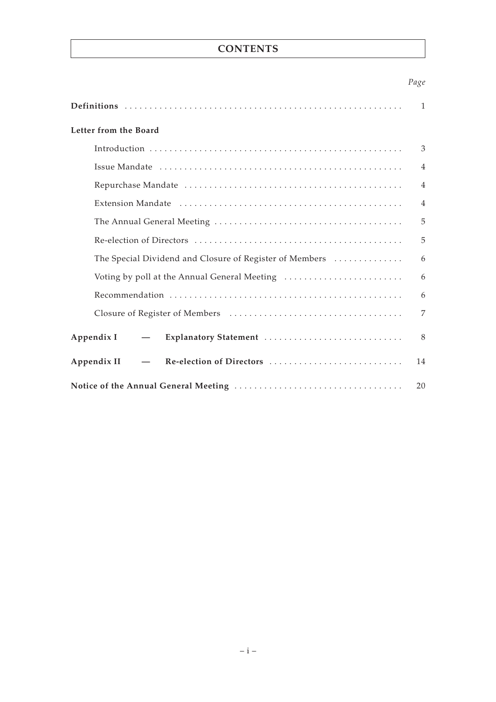# **CONTENTS**

# *Page*

|                                                                         | 1              |
|-------------------------------------------------------------------------|----------------|
| Letter from the Board                                                   |                |
|                                                                         | 3              |
|                                                                         | $\overline{4}$ |
|                                                                         | $\overline{4}$ |
|                                                                         | $\overline{4}$ |
|                                                                         | 5              |
|                                                                         | 5              |
| The Special Dividend and Closure of Register of Members                 | 6              |
| Voting by poll at the Annual General Meeting                            | 6              |
|                                                                         | 6              |
|                                                                         | 7              |
| Appendix I<br>Explanatory Statement<br>$\overbrace{\phantom{12322111}}$ | 8              |
| Re-election of Directors<br>Appendix II<br>$\overline{\phantom{a}}$     | 14             |
|                                                                         | 20             |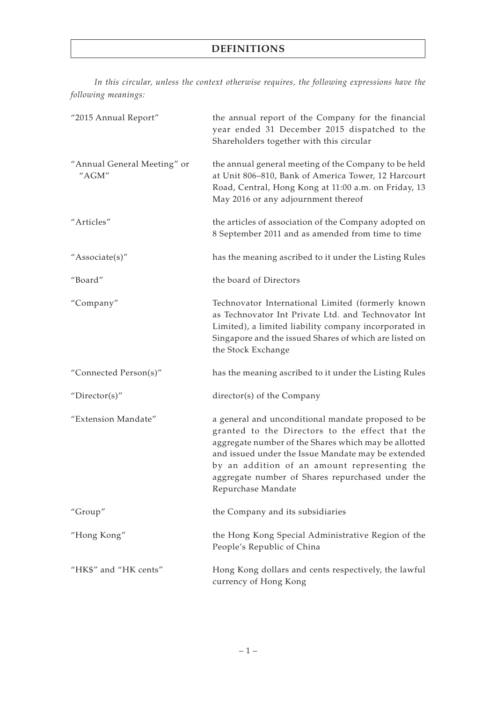# **DEFINITIONS**

*In this circular, unless the context otherwise requires, the following expressions have the following meanings:*

| "2015 Annual Report"                 | the annual report of the Company for the financial<br>year ended 31 December 2015 dispatched to the<br>Shareholders together with this circular                                                                                                                                                                                               |
|--------------------------------------|-----------------------------------------------------------------------------------------------------------------------------------------------------------------------------------------------------------------------------------------------------------------------------------------------------------------------------------------------|
| "Annual General Meeting" or<br>"AGM" | the annual general meeting of the Company to be held<br>at Unit 806-810, Bank of America Tower, 12 Harcourt<br>Road, Central, Hong Kong at 11:00 a.m. on Friday, 13<br>May 2016 or any adjournment thereof                                                                                                                                    |
| "Articles"                           | the articles of association of the Company adopted on<br>8 September 2011 and as amended from time to time                                                                                                                                                                                                                                    |
| "Associate(s)"                       | has the meaning ascribed to it under the Listing Rules                                                                                                                                                                                                                                                                                        |
| "Board"                              | the board of Directors                                                                                                                                                                                                                                                                                                                        |
| "Company"                            | Technovator International Limited (formerly known<br>as Technovator Int Private Ltd. and Technovator Int<br>Limited), a limited liability company incorporated in<br>Singapore and the issued Shares of which are listed on<br>the Stock Exchange                                                                                             |
| "Connected Person(s)"                | has the meaning ascribed to it under the Listing Rules                                                                                                                                                                                                                                                                                        |
| "Director(s)"                        | director(s) of the Company                                                                                                                                                                                                                                                                                                                    |
| "Extension Mandate"                  | a general and unconditional mandate proposed to be<br>granted to the Directors to the effect that the<br>aggregate number of the Shares which may be allotted<br>and issued under the Issue Mandate may be extended<br>by an addition of an amount representing the<br>aggregate number of Shares repurchased under the<br>Repurchase Mandate |
| "Group"                              | the Company and its subsidiaries                                                                                                                                                                                                                                                                                                              |
| "Hong Kong"                          | the Hong Kong Special Administrative Region of the<br>People's Republic of China                                                                                                                                                                                                                                                              |
| "HK\$" and "HK cents"                | Hong Kong dollars and cents respectively, the lawful<br>currency of Hong Kong                                                                                                                                                                                                                                                                 |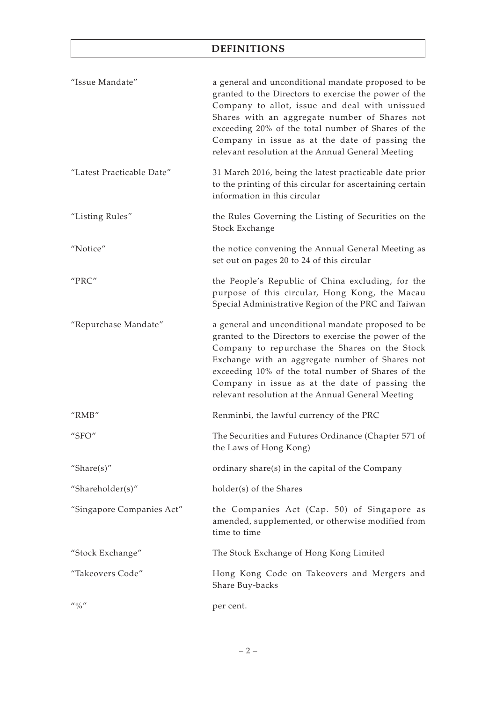# **DEFINITIONS**

| "Issue Mandate"                       | a general and unconditional mandate proposed to be<br>granted to the Directors to exercise the power of the<br>Company to allot, issue and deal with unissued<br>Shares with an aggregate number of Shares not<br>exceeding 20% of the total number of Shares of the<br>Company in issue as at the date of passing the<br>relevant resolution at the Annual General Meeting  |
|---------------------------------------|------------------------------------------------------------------------------------------------------------------------------------------------------------------------------------------------------------------------------------------------------------------------------------------------------------------------------------------------------------------------------|
| "Latest Practicable Date"             | 31 March 2016, being the latest practicable date prior<br>to the printing of this circular for ascertaining certain<br>information in this circular                                                                                                                                                                                                                          |
| "Listing Rules"                       | the Rules Governing the Listing of Securities on the<br>Stock Exchange                                                                                                                                                                                                                                                                                                       |
| "Notice"                              | the notice convening the Annual General Meeting as<br>set out on pages 20 to 24 of this circular                                                                                                                                                                                                                                                                             |
| "PRC"                                 | the People's Republic of China excluding, for the<br>purpose of this circular, Hong Kong, the Macau<br>Special Administrative Region of the PRC and Taiwan                                                                                                                                                                                                                   |
| "Repurchase Mandate"                  | a general and unconditional mandate proposed to be<br>granted to the Directors to exercise the power of the<br>Company to repurchase the Shares on the Stock<br>Exchange with an aggregate number of Shares not<br>exceeding 10% of the total number of Shares of the<br>Company in issue as at the date of passing the<br>relevant resolution at the Annual General Meeting |
| "RMB"                                 | Renminbi, the lawful currency of the PRC                                                                                                                                                                                                                                                                                                                                     |
| " $SFO"$                              | The Securities and Futures Ordinance (Chapter 571 of<br>the Laws of Hong Kong)                                                                                                                                                                                                                                                                                               |
| "Share $(s)$ "                        | ordinary share(s) in the capital of the Company                                                                                                                                                                                                                                                                                                                              |
| "Shareholder(s)"                      | holder(s) of the Shares                                                                                                                                                                                                                                                                                                                                                      |
| "Singapore Companies Act"             | the Companies Act (Cap. 50) of Singapore as<br>amended, supplemented, or otherwise modified from<br>time to time                                                                                                                                                                                                                                                             |
| "Stock Exchange"                      | The Stock Exchange of Hong Kong Limited                                                                                                                                                                                                                                                                                                                                      |
| "Takeovers Code"                      | Hong Kong Code on Takeovers and Mergers and<br>Share Buy-backs                                                                                                                                                                                                                                                                                                               |
| $^{\prime\prime}$ % $^{\prime\prime}$ | per cent.                                                                                                                                                                                                                                                                                                                                                                    |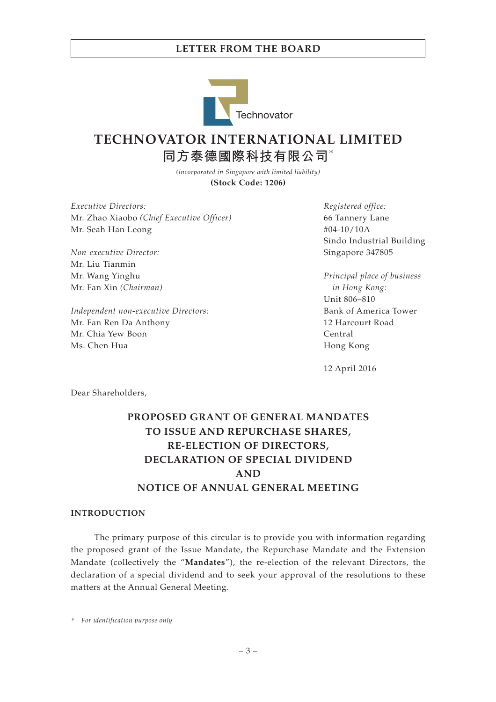

# **TECHNOVATOR INTERNATIONAL LIMITED 同方泰德國際科技有限公司**\*

*(incorporated in Singapore with limited liability)* **(Stock Code: 1206)**

*Executive Directors:* Mr. Zhao Xiaobo *(Chief Executive Officer)* Mr. Seah Han Leong

*Non-executive Director:* Mr. Liu Tianmin Mr. Wang Yinghu Mr. Fan Xin *(Chairman)*

*Independent non-executive Directors:* Mr. Fan Ren Da Anthony Mr. Chia Yew Boon Ms. Chen Hua

*Registered office:* 66 Tannery Lane #04-10/10A Sindo Industrial Building Singapore 347805

*Principal place of business in Hong Kong:* Unit 806–810 Bank of America Tower 12 Harcourt Road Central Hong Kong

12 April 2016

Dear Shareholders,

# **PROPOSED GRANT OF GENERAL MANDATES TO ISSUE AND REPURCHASE SHARES, RE-ELECTION OF DIRECTORS, DECLARATION OF SPECIAL DIVIDEND AND NOTICE OF ANNUAL GENERAL MEETING**

### **INTRODUCTION**

The primary purpose of this circular is to provide you with information regarding the proposed grant of the Issue Mandate, the Repurchase Mandate and the Extension Mandate (collectively the "**Mandates**"), the re-election of the relevant Directors, the declaration of a special dividend and to seek your approval of the resolutions to these matters at the Annual General Meeting.

*\* For identification purpose only*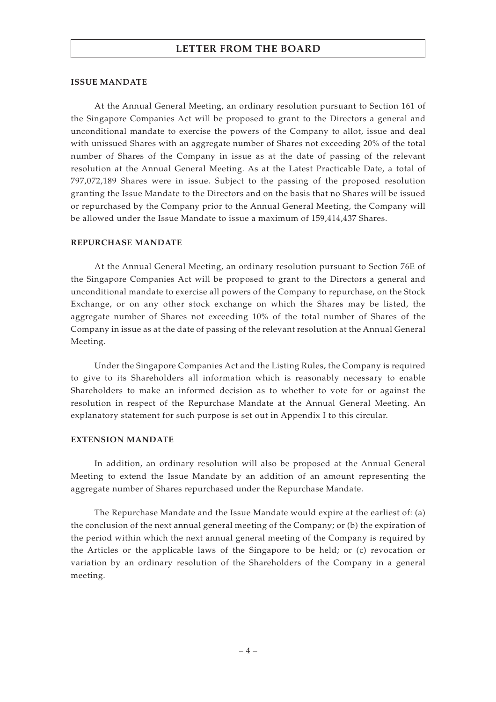### **ISSUE MANDATE**

At the Annual General Meeting, an ordinary resolution pursuant to Section 161 of the Singapore Companies Act will be proposed to grant to the Directors a general and unconditional mandate to exercise the powers of the Company to allot, issue and deal with unissued Shares with an aggregate number of Shares not exceeding 20% of the total number of Shares of the Company in issue as at the date of passing of the relevant resolution at the Annual General Meeting. As at the Latest Practicable Date, a total of 797,072,189 Shares were in issue. Subject to the passing of the proposed resolution granting the Issue Mandate to the Directors and on the basis that no Shares will be issued or repurchased by the Company prior to the Annual General Meeting, the Company will be allowed under the Issue Mandate to issue a maximum of 159,414,437 Shares.

### **REPURCHASE MANDATE**

At the Annual General Meeting, an ordinary resolution pursuant to Section 76E of the Singapore Companies Act will be proposed to grant to the Directors a general and unconditional mandate to exercise all powers of the Company to repurchase, on the Stock Exchange, or on any other stock exchange on which the Shares may be listed, the aggregate number of Shares not exceeding 10% of the total number of Shares of the Company in issue as at the date of passing of the relevant resolution at the Annual General Meeting.

Under the Singapore Companies Act and the Listing Rules, the Company is required to give to its Shareholders all information which is reasonably necessary to enable Shareholders to make an informed decision as to whether to vote for or against the resolution in respect of the Repurchase Mandate at the Annual General Meeting. An explanatory statement for such purpose is set out in Appendix I to this circular.

### **EXTENSION MANDATE**

In addition, an ordinary resolution will also be proposed at the Annual General Meeting to extend the Issue Mandate by an addition of an amount representing the aggregate number of Shares repurchased under the Repurchase Mandate.

The Repurchase Mandate and the Issue Mandate would expire at the earliest of: (a) the conclusion of the next annual general meeting of the Company; or (b) the expiration of the period within which the next annual general meeting of the Company is required by the Articles or the applicable laws of the Singapore to be held; or (c) revocation or variation by an ordinary resolution of the Shareholders of the Company in a general meeting.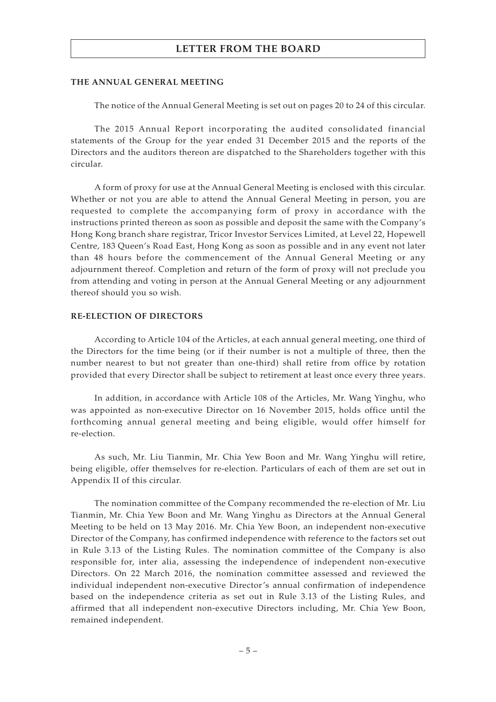### **THE ANNUAL GENERAL MEETING**

The notice of the Annual General Meeting is set out on pages 20 to 24 of this circular.

The 2015 Annual Report incorporating the audited consolidated financial statements of the Group for the year ended 31 December 2015 and the reports of the Directors and the auditors thereon are dispatched to the Shareholders together with this circular.

A form of proxy for use at the Annual General Meeting is enclosed with this circular. Whether or not you are able to attend the Annual General Meeting in person, you are requested to complete the accompanying form of proxy in accordance with the instructions printed thereon as soon as possible and deposit the same with the Company's Hong Kong branch share registrar, Tricor Investor Services Limited, at Level 22, Hopewell Centre, 183 Queen's Road East, Hong Kong as soon as possible and in any event not later than 48 hours before the commencement of the Annual General Meeting or any adjournment thereof. Completion and return of the form of proxy will not preclude you from attending and voting in person at the Annual General Meeting or any adjournment thereof should you so wish.

### **RE-ELECTION OF DIRECTORS**

According to Article 104 of the Articles, at each annual general meeting, one third of the Directors for the time being (or if their number is not a multiple of three, then the number nearest to but not greater than one-third) shall retire from office by rotation provided that every Director shall be subject to retirement at least once every three years.

In addition, in accordance with Article 108 of the Articles, Mr. Wang Yinghu, who was appointed as non-executive Director on 16 November 2015, holds office until the forthcoming annual general meeting and being eligible, would offer himself for re-election.

As such, Mr. Liu Tianmin, Mr. Chia Yew Boon and Mr. Wang Yinghu will retire, being eligible, offer themselves for re-election. Particulars of each of them are set out in Appendix II of this circular.

The nomination committee of the Company recommended the re-election of Mr. Liu Tianmin, Mr. Chia Yew Boon and Mr. Wang Yinghu as Directors at the Annual General Meeting to be held on 13 May 2016. Mr. Chia Yew Boon, an independent non-executive Director of the Company, has confirmed independence with reference to the factors set out in Rule 3.13 of the Listing Rules. The nomination committee of the Company is also responsible for, inter alia, assessing the independence of independent non-executive Directors. On 22 March 2016, the nomination committee assessed and reviewed the individual independent non-executive Director's annual confirmation of independence based on the independence criteria as set out in Rule 3.13 of the Listing Rules, and affirmed that all independent non-executive Directors including, Mr. Chia Yew Boon, remained independent.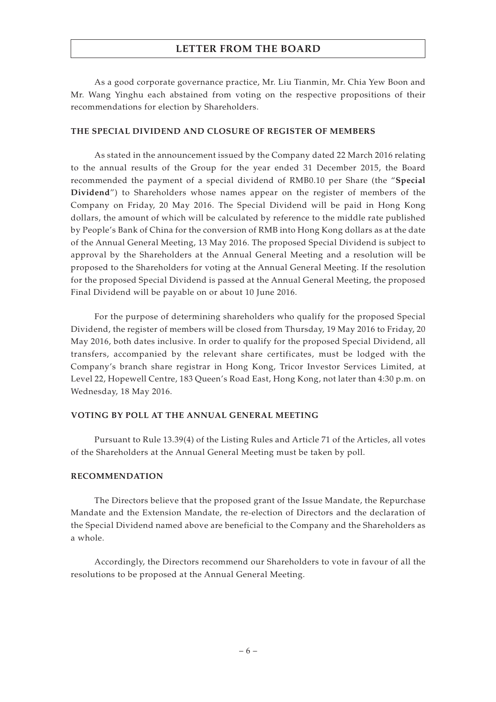As a good corporate governance practice, Mr. Liu Tianmin, Mr. Chia Yew Boon and Mr. Wang Yinghu each abstained from voting on the respective propositions of their recommendations for election by Shareholders.

### **THE SPECIAL DIVIDEND AND CLOSURE OF REGISTER OF MEMBERS**

As stated in the announcement issued by the Company dated 22 March 2016 relating to the annual results of the Group for the year ended 31 December 2015, the Board recommended the payment of a special dividend of RMB0.10 per Share (the "**Special Dividend**") to Shareholders whose names appear on the register of members of the Company on Friday, 20 May 2016. The Special Dividend will be paid in Hong Kong dollars, the amount of which will be calculated by reference to the middle rate published by People's Bank of China for the conversion of RMB into Hong Kong dollars as at the date of the Annual General Meeting, 13 May 2016. The proposed Special Dividend is subject to approval by the Shareholders at the Annual General Meeting and a resolution will be proposed to the Shareholders for voting at the Annual General Meeting. If the resolution for the proposed Special Dividend is passed at the Annual General Meeting, the proposed Final Dividend will be payable on or about 10 June 2016.

For the purpose of determining shareholders who qualify for the proposed Special Dividend, the register of members will be closed from Thursday, 19 May 2016 to Friday, 20 May 2016, both dates inclusive. In order to qualify for the proposed Special Dividend, all transfers, accompanied by the relevant share certificates, must be lodged with the Company's branch share registrar in Hong Kong, Tricor Investor Services Limited, at Level 22, Hopewell Centre, 183 Queen's Road East, Hong Kong, not later than 4:30 p.m. on Wednesday, 18 May 2016.

### **VOTING BY POLL AT THE ANNUAL GENERAL MEETING**

Pursuant to Rule 13.39(4) of the Listing Rules and Article 71 of the Articles, all votes of the Shareholders at the Annual General Meeting must be taken by poll.

### **RECOMMENDATION**

The Directors believe that the proposed grant of the Issue Mandate, the Repurchase Mandate and the Extension Mandate, the re-election of Directors and the declaration of the Special Dividend named above are beneficial to the Company and the Shareholders as a whole.

Accordingly, the Directors recommend our Shareholders to vote in favour of all the resolutions to be proposed at the Annual General Meeting.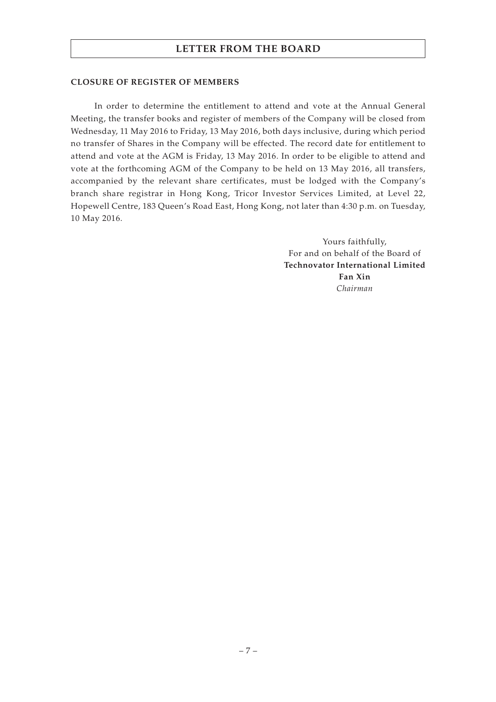### **CLOSURE OF REGISTER OF MEMBERS**

In order to determine the entitlement to attend and vote at the Annual General Meeting, the transfer books and register of members of the Company will be closed from Wednesday, 11 May 2016 to Friday, 13 May 2016, both days inclusive, during which period no transfer of Shares in the Company will be effected. The record date for entitlement to attend and vote at the AGM is Friday, 13 May 2016. In order to be eligible to attend and vote at the forthcoming AGM of the Company to be held on 13 May 2016, all transfers, accompanied by the relevant share certificates, must be lodged with the Company's branch share registrar in Hong Kong, Tricor Investor Services Limited, at Level 22, Hopewell Centre, 183 Queen's Road East, Hong Kong, not later than 4:30 p.m. on Tuesday, 10 May 2016.

> Yours faithfully, For and on behalf of the Board of **Technovator International Limited Fan Xin** *Chairman*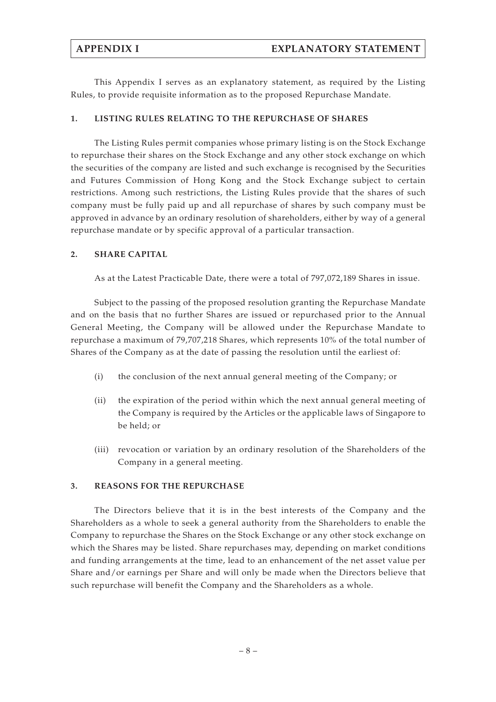This Appendix I serves as an explanatory statement, as required by the Listing Rules, to provide requisite information as to the proposed Repurchase Mandate.

### **1. LISTING RULES RELATING TO THE REPURCHASE OF SHARES**

The Listing Rules permit companies whose primary listing is on the Stock Exchange to repurchase their shares on the Stock Exchange and any other stock exchange on which the securities of the company are listed and such exchange is recognised by the Securities and Futures Commission of Hong Kong and the Stock Exchange subject to certain restrictions. Among such restrictions, the Listing Rules provide that the shares of such company must be fully paid up and all repurchase of shares by such company must be approved in advance by an ordinary resolution of shareholders, either by way of a general repurchase mandate or by specific approval of a particular transaction.

### **2. SHARE CAPITAL**

As at the Latest Practicable Date, there were a total of 797,072,189 Shares in issue.

Subject to the passing of the proposed resolution granting the Repurchase Mandate and on the basis that no further Shares are issued or repurchased prior to the Annual General Meeting, the Company will be allowed under the Repurchase Mandate to repurchase a maximum of 79,707,218 Shares, which represents 10% of the total number of Shares of the Company as at the date of passing the resolution until the earliest of:

- (i) the conclusion of the next annual general meeting of the Company; or
- (ii) the expiration of the period within which the next annual general meeting of the Company is required by the Articles or the applicable laws of Singapore to be held; or
- (iii) revocation or variation by an ordinary resolution of the Shareholders of the Company in a general meeting.

### **3. REASONS FOR THE REPURCHASE**

The Directors believe that it is in the best interests of the Company and the Shareholders as a whole to seek a general authority from the Shareholders to enable the Company to repurchase the Shares on the Stock Exchange or any other stock exchange on which the Shares may be listed. Share repurchases may, depending on market conditions and funding arrangements at the time, lead to an enhancement of the net asset value per Share and/or earnings per Share and will only be made when the Directors believe that such repurchase will benefit the Company and the Shareholders as a whole.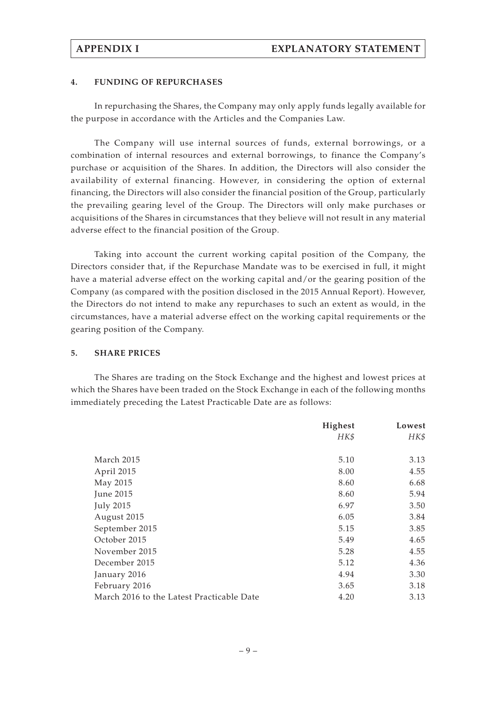### **4. FUNDING OF REPURCHASES**

In repurchasing the Shares, the Company may only apply funds legally available for the purpose in accordance with the Articles and the Companies Law.

The Company will use internal sources of funds, external borrowings, or a combination of internal resources and external borrowings, to finance the Company's purchase or acquisition of the Shares. In addition, the Directors will also consider the availability of external financing. However, in considering the option of external financing, the Directors will also consider the financial position of the Group, particularly the prevailing gearing level of the Group. The Directors will only make purchases or acquisitions of the Shares in circumstances that they believe will not result in any material adverse effect to the financial position of the Group.

Taking into account the current working capital position of the Company, the Directors consider that, if the Repurchase Mandate was to be exercised in full, it might have a material adverse effect on the working capital and/or the gearing position of the Company (as compared with the position disclosed in the 2015 Annual Report). However, the Directors do not intend to make any repurchases to such an extent as would, in the circumstances, have a material adverse effect on the working capital requirements or the gearing position of the Company.

### **5. SHARE PRICES**

The Shares are trading on the Stock Exchange and the highest and lowest prices at which the Shares have been traded on the Stock Exchange in each of the following months immediately preceding the Latest Practicable Date are as follows:

|                                           | Highest | Lowest |
|-------------------------------------------|---------|--------|
|                                           | HK\$    | HK\$   |
|                                           |         |        |
| March 2015                                | 5.10    | 3.13   |
| April 2015                                | 8.00    | 4.55   |
| May 2015                                  | 8.60    | 6.68   |
| June 2015                                 | 8.60    | 5.94   |
| <b>July 2015</b>                          | 6.97    | 3.50   |
| August 2015                               | 6.05    | 3.84   |
| September 2015                            | 5.15    | 3.85   |
| October 2015                              | 5.49    | 4.65   |
| November 2015                             | 5.28    | 4.55   |
| December 2015                             | 5.12    | 4.36   |
| January 2016                              | 4.94    | 3.30   |
| February 2016                             | 3.65    | 3.18   |
| March 2016 to the Latest Practicable Date | 4.20    | 3.13   |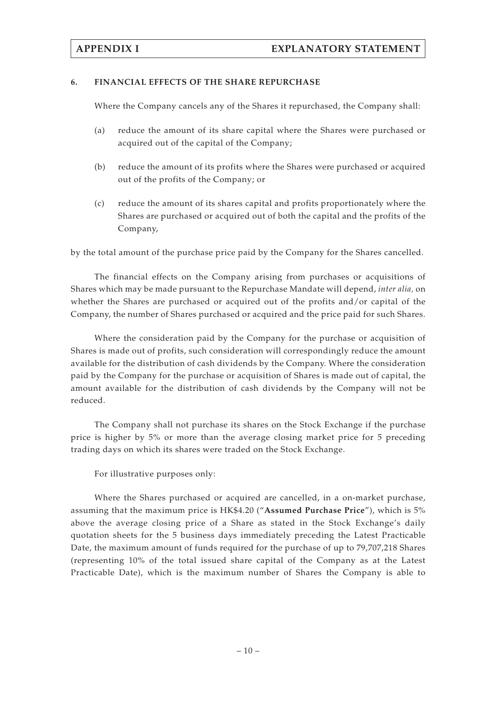### **6. FINANCIAL EFFECTS OF THE SHARE REPURCHASE**

Where the Company cancels any of the Shares it repurchased, the Company shall:

- (a) reduce the amount of its share capital where the Shares were purchased or acquired out of the capital of the Company;
- (b) reduce the amount of its profits where the Shares were purchased or acquired out of the profits of the Company; or
- (c) reduce the amount of its shares capital and profits proportionately where the Shares are purchased or acquired out of both the capital and the profits of the Company,

by the total amount of the purchase price paid by the Company for the Shares cancelled.

The financial effects on the Company arising from purchases or acquisitions of Shares which may be made pursuant to the Repurchase Mandate will depend, *inter alia,* on whether the Shares are purchased or acquired out of the profits and/or capital of the Company, the number of Shares purchased or acquired and the price paid for such Shares.

Where the consideration paid by the Company for the purchase or acquisition of Shares is made out of profits, such consideration will correspondingly reduce the amount available for the distribution of cash dividends by the Company. Where the consideration paid by the Company for the purchase or acquisition of Shares is made out of capital, the amount available for the distribution of cash dividends by the Company will not be reduced.

The Company shall not purchase its shares on the Stock Exchange if the purchase price is higher by 5% or more than the average closing market price for 5 preceding trading days on which its shares were traded on the Stock Exchange.

For illustrative purposes only:

Where the Shares purchased or acquired are cancelled, in a on-market purchase, assuming that the maximum price is HK\$4.20 ("**Assumed Purchase Price**"), which is 5% above the average closing price of a Share as stated in the Stock Exchange's daily quotation sheets for the 5 business days immediately preceding the Latest Practicable Date, the maximum amount of funds required for the purchase of up to 79,707,218 Shares (representing 10% of the total issued share capital of the Company as at the Latest Practicable Date), which is the maximum number of Shares the Company is able to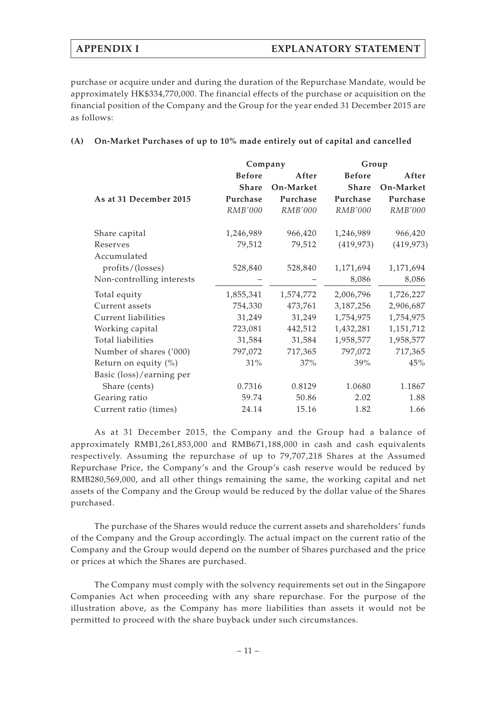purchase or acquire under and during the duration of the Repurchase Mandate, would be approximately HK\$334,770,000. The financial effects of the purchase or acquisition on the financial position of the Company and the Group for the year ended 31 December 2015 are as follows:

### **(A) On-Market Purchases of up to 10% made entirely out of capital and cancelled**

|                           | Company       |                | Group         |            |
|---------------------------|---------------|----------------|---------------|------------|
|                           | <b>Before</b> | After          | <b>Before</b> | After      |
|                           | <b>Share</b>  | On-Market      | <b>Share</b>  | On-Market  |
| As at 31 December 2015    | Purchase      | Purchase       | Purchase      | Purchase   |
|                           | RMB'000       | <b>RMB'000</b> | RMB'000       | RMB'000    |
| Share capital             | 1,246,989     | 966,420        | 1,246,989     | 966,420    |
| Reserves                  | 79,512        | 79,512         | (419, 973)    | (419, 973) |
| Accumulated               |               |                |               |            |
| profits/(losses)          | 528,840       | 528,840        | 1,171,694     | 1,171,694  |
| Non-controlling interests |               |                | 8,086         | 8,086      |
| Total equity              | 1,855,341     | 1,574,772      | 2,006,796     | 1,726,227  |
| Current assets            | 754,330       | 473,761        | 3,187,256     | 2,906,687  |
| Current liabilities       | 31,249        | 31,249         | 1,754,975     | 1,754,975  |
| Working capital           | 723,081       | 442,512        | 1,432,281     | 1,151,712  |
| Total liabilities         | 31,584        | 31,584         | 1,958,577     | 1,958,577  |
| Number of shares ('000)   | 797,072       | 717,365        | 797,072       | 717,365    |
| Return on equity $(\%)$   | 31%           | 37%            | 39%           | 45%        |
| Basic (loss)/earning per  |               |                |               |            |
| Share (cents)             | 0.7316        | 0.8129         | 1.0680        | 1.1867     |
| Gearing ratio             | 59.74         | 50.86          | 2.02          | 1.88       |
| Current ratio (times)     | 24.14         | 15.16          | 1.82          | 1.66       |

As at 31 December 2015, the Company and the Group had a balance of approximately RMB1,261,853,000 and RMB671,188,000 in cash and cash equivalents respectively. Assuming the repurchase of up to 79,707,218 Shares at the Assumed Repurchase Price, the Company's and the Group's cash reserve would be reduced by RMB280,569,000, and all other things remaining the same, the working capital and net assets of the Company and the Group would be reduced by the dollar value of the Shares purchased.

The purchase of the Shares would reduce the current assets and shareholders' funds of the Company and the Group accordingly. The actual impact on the current ratio of the Company and the Group would depend on the number of Shares purchased and the price or prices at which the Shares are purchased.

The Company must comply with the solvency requirements set out in the Singapore Companies Act when proceeding with any share repurchase. For the purpose of the illustration above, as the Company has more liabilities than assets it would not be permitted to proceed with the share buyback under such circumstances.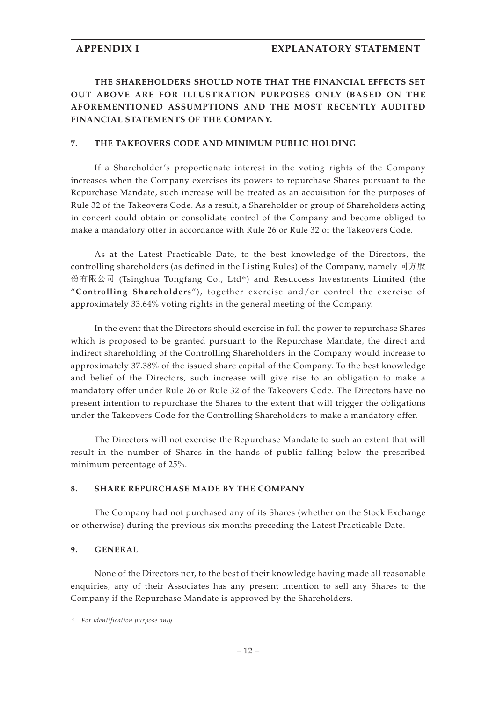# **THE SHAREHOLDERS SHOULD NOTE THAT THE FINANCIAL EFFECTS SET OUT ABOVE ARE FOR ILLUSTRATION PURPOSES ONLY (BASED ON THE AFOREMENTIONED ASSUMPTIONS AND THE MOST RECENTLY AUDITED FINANCIAL STATEMENTS OF THE COMPANY.**

### **7. THE TAKEOVERS CODE AND MINIMUM PUBLIC HOLDING**

If a Shareholder's proportionate interest in the voting rights of the Company increases when the Company exercises its powers to repurchase Shares pursuant to the Repurchase Mandate, such increase will be treated as an acquisition for the purposes of Rule 32 of the Takeovers Code. As a result, a Shareholder or group of Shareholders acting in concert could obtain or consolidate control of the Company and become obliged to make a mandatory offer in accordance with Rule 26 or Rule 32 of the Takeovers Code.

As at the Latest Practicable Date, to the best knowledge of the Directors, the controlling shareholders (as defined in the Listing Rules) of the Company, namely 同方股 份有限公司 (Tsinghua Tongfang Co., Ltd\*) and Resuccess Investments Limited (the "**Controlling Shareholders**"), together exercise and/or control the exercise of approximately 33.64% voting rights in the general meeting of the Company.

In the event that the Directors should exercise in full the power to repurchase Shares which is proposed to be granted pursuant to the Repurchase Mandate, the direct and indirect shareholding of the Controlling Shareholders in the Company would increase to approximately 37.38% of the issued share capital of the Company. To the best knowledge and belief of the Directors, such increase will give rise to an obligation to make a mandatory offer under Rule 26 or Rule 32 of the Takeovers Code. The Directors have no present intention to repurchase the Shares to the extent that will trigger the obligations under the Takeovers Code for the Controlling Shareholders to make a mandatory offer.

The Directors will not exercise the Repurchase Mandate to such an extent that will result in the number of Shares in the hands of public falling below the prescribed minimum percentage of 25%.

### **8. SHARE REPURCHASE MADE BY THE COMPANY**

The Company had not purchased any of its Shares (whether on the Stock Exchange or otherwise) during the previous six months preceding the Latest Practicable Date.

### **9. GENERAL**

None of the Directors nor, to the best of their knowledge having made all reasonable enquiries, any of their Associates has any present intention to sell any Shares to the Company if the Repurchase Mandate is approved by the Shareholders.

*<sup>\*</sup> For identification purpose only*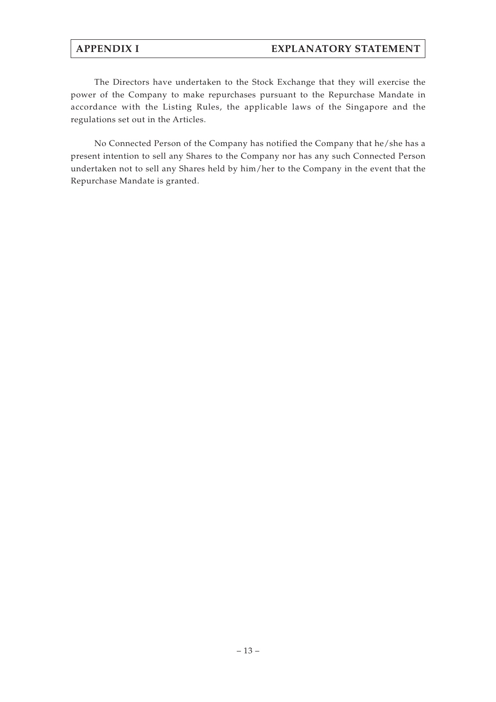# **APPENDIX I EXPLANATORY STATEMENT**

The Directors have undertaken to the Stock Exchange that they will exercise the power of the Company to make repurchases pursuant to the Repurchase Mandate in accordance with the Listing Rules, the applicable laws of the Singapore and the regulations set out in the Articles.

No Connected Person of the Company has notified the Company that he/she has a present intention to sell any Shares to the Company nor has any such Connected Person undertaken not to sell any Shares held by him/her to the Company in the event that the Repurchase Mandate is granted.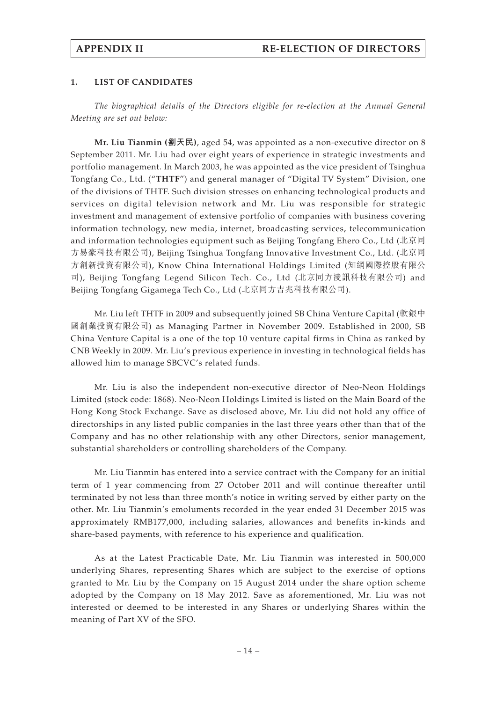### **1. LIST OF CANDIDATES**

*The biographical details of the Directors eligible for re-election at the Annual General Meeting are set out below:*

**Mr. Liu Tianmin (劉天民)**, aged 54, was appointed as a non-executive director on 8 September 2011. Mr. Liu had over eight years of experience in strategic investments and portfolio management. In March 2003, he was appointed as the vice president of Tsinghua Tongfang Co., Ltd. ("**THTF**") and general manager of "Digital TV System" Division, one of the divisions of THTF. Such division stresses on enhancing technological products and services on digital television network and Mr. Liu was responsible for strategic investment and management of extensive portfolio of companies with business covering information technology, new media, internet, broadcasting services, telecommunication and information technologies equipment such as Beijing Tongfang Ehero Co., Ltd (北京同 方易豪科技有限公司), Beijing Tsinghua Tongfang Innovative Investment Co., Ltd. (北京同 方創新投資有限公司), Know China International Holdings Limited (知網國際控股有限公 司), Beijing Tongfang Legend Silicon Tech. Co., Ltd (北京同方淩訊科技有限公司) and Beijing Tongfang Gigamega Tech Co., Ltd (北京同方吉兆科技有限公司).

Mr. Liu left THTF in 2009 and subsequently joined SB China Venture Capital (軟銀中 國創業投資有限公司) as Managing Partner in November 2009. Established in 2000, SB China Venture Capital is a one of the top 10 venture capital firms in China as ranked by CNB Weekly in 2009. Mr. Liu's previous experience in investing in technological fields has allowed him to manage SBCVC's related funds.

Mr. Liu is also the independent non-executive director of Neo-Neon Holdings Limited (stock code: 1868). Neo-Neon Holdings Limited is listed on the Main Board of the Hong Kong Stock Exchange. Save as disclosed above, Mr. Liu did not hold any office of directorships in any listed public companies in the last three years other than that of the Company and has no other relationship with any other Directors, senior management, substantial shareholders or controlling shareholders of the Company.

Mr. Liu Tianmin has entered into a service contract with the Company for an initial term of 1 year commencing from 27 October 2011 and will continue thereafter until terminated by not less than three month's notice in writing served by either party on the other. Mr. Liu Tianmin's emoluments recorded in the year ended 31 December 2015 was approximately RMB177,000, including salaries, allowances and benefits in-kinds and share-based payments, with reference to his experience and qualification.

As at the Latest Practicable Date, Mr. Liu Tianmin was interested in 500,000 underlying Shares, representing Shares which are subject to the exercise of options granted to Mr. Liu by the Company on 15 August 2014 under the share option scheme adopted by the Company on 18 May 2012. Save as aforementioned, Mr. Liu was not interested or deemed to be interested in any Shares or underlying Shares within the meaning of Part XV of the SFO.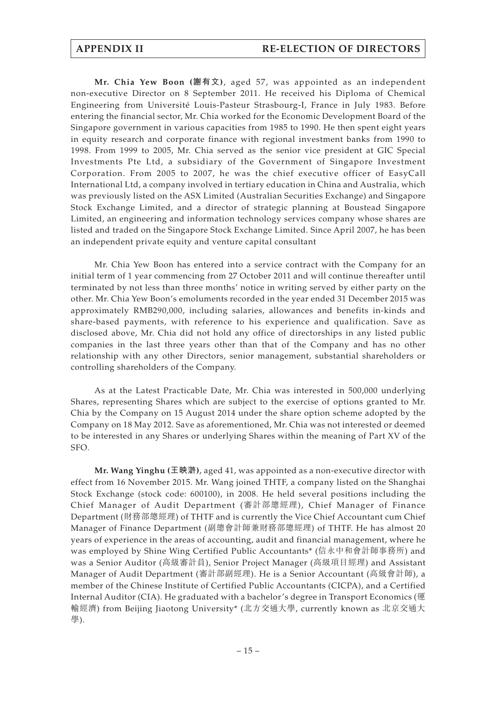**Mr. Chia Yew Boon (謝有文)**, aged 57, was appointed as an independent non-executive Director on 8 September 2011. He received his Diploma of Chemical Engineering from Université Louis-Pasteur Strasbourg-I, France in July 1983. Before entering the financial sector, Mr. Chia worked for the Economic Development Board of the Singapore government in various capacities from 1985 to 1990. He then spent eight years in equity research and corporate finance with regional investment banks from 1990 to 1998. From 1999 to 2005, Mr. Chia served as the senior vice president at GIC Special Investments Pte Ltd, a subsidiary of the Government of Singapore Investment Corporation. From 2005 to 2007, he was the chief executive officer of EasyCall International Ltd, a company involved in tertiary education in China and Australia, which was previously listed on the ASX Limited (Australian Securities Exchange) and Singapore Stock Exchange Limited, and a director of strategic planning at Boustead Singapore Limited, an engineering and information technology services company whose shares are listed and traded on the Singapore Stock Exchange Limited. Since April 2007, he has been an independent private equity and venture capital consultant

Mr. Chia Yew Boon has entered into a service contract with the Company for an initial term of 1 year commencing from 27 October 2011 and will continue thereafter until terminated by not less than three months' notice in writing served by either party on the other. Mr. Chia Yew Boon's emoluments recorded in the year ended 31 December 2015 was approximately RMB290,000, including salaries, allowances and benefits in-kinds and share-based payments, with reference to his experience and qualification. Save as disclosed above, Mr. Chia did not hold any office of directorships in any listed public companies in the last three years other than that of the Company and has no other relationship with any other Directors, senior management, substantial shareholders or controlling shareholders of the Company.

As at the Latest Practicable Date, Mr. Chia was interested in 500,000 underlying Shares, representing Shares which are subject to the exercise of options granted to Mr. Chia by the Company on 15 August 2014 under the share option scheme adopted by the Company on 18 May 2012. Save as aforementioned, Mr. Chia was not interested or deemed to be interested in any Shares or underlying Shares within the meaning of Part XV of the SFO.

**Mr. Wang Yinghu (王映滸)**, aged 41, was appointed as a non-executive director with effect from 16 November 2015. Mr. Wang joined THTF, a company listed on the Shanghai Stock Exchange (stock code: 600100), in 2008. He held several positions including the Chief Manager of Audit Department (審計部總經理), Chief Manager of Finance Department (財務部總經理) of THTF and is currently the Vice Chief Accountant cum Chief Manager of Finance Department (副總會計師兼財務部總經理) of THTF. He has almost 20 years of experience in the areas of accounting, audit and financial management, where he was employed by Shine Wing Certified Public Accountants\* (信永中和會計師事務所) and was a Senior Auditor (高級審計員), Senior Project Manager (高級項目經理) and Assistant Manager of Audit Department (審計部副經理). He is a Senior Accountant (高級會計師), a member of the Chinese Institute of Certified Public Accountants (CICPA), and a Certified Internal Auditor (CIA). He graduated with a bachelor's degree in Transport Economics (運 輸經濟) from Beijing Jiaotong University\* (北方交通大學, currently known as 北京交通大 學).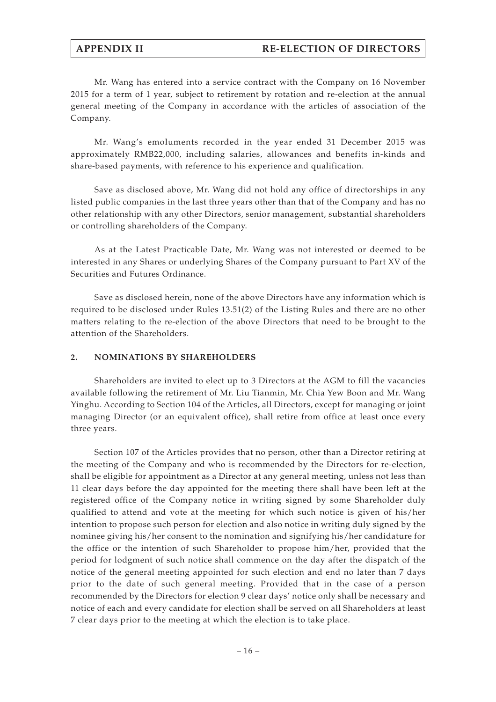# **APPENDIX II RE-ELECTION OF DIRECTORS**

Mr. Wang has entered into a service contract with the Company on 16 November 2015 for a term of 1 year, subject to retirement by rotation and re-election at the annual general meeting of the Company in accordance with the articles of association of the Company.

Mr. Wang's emoluments recorded in the year ended 31 December 2015 was approximately RMB22,000, including salaries, allowances and benefits in-kinds and share-based payments, with reference to his experience and qualification.

Save as disclosed above, Mr. Wang did not hold any office of directorships in any listed public companies in the last three years other than that of the Company and has no other relationship with any other Directors, senior management, substantial shareholders or controlling shareholders of the Company.

As at the Latest Practicable Date, Mr. Wang was not interested or deemed to be interested in any Shares or underlying Shares of the Company pursuant to Part XV of the Securities and Futures Ordinance.

Save as disclosed herein, none of the above Directors have any information which is required to be disclosed under Rules 13.51(2) of the Listing Rules and there are no other matters relating to the re-election of the above Directors that need to be brought to the attention of the Shareholders.

### **2. NOMINATIONS BY SHAREHOLDERS**

Shareholders are invited to elect up to 3 Directors at the AGM to fill the vacancies available following the retirement of Mr. Liu Tianmin, Mr. Chia Yew Boon and Mr. Wang Yinghu. According to Section 104 of the Articles, all Directors, except for managing or joint managing Director (or an equivalent office), shall retire from office at least once every three years.

Section 107 of the Articles provides that no person, other than a Director retiring at the meeting of the Company and who is recommended by the Directors for re-election, shall be eligible for appointment as a Director at any general meeting, unless not less than 11 clear days before the day appointed for the meeting there shall have been left at the registered office of the Company notice in writing signed by some Shareholder duly qualified to attend and vote at the meeting for which such notice is given of his/her intention to propose such person for election and also notice in writing duly signed by the nominee giving his/her consent to the nomination and signifying his/her candidature for the office or the intention of such Shareholder to propose him/her, provided that the period for lodgment of such notice shall commence on the day after the dispatch of the notice of the general meeting appointed for such election and end no later than 7 days prior to the date of such general meeting. Provided that in the case of a person recommended by the Directors for election 9 clear days' notice only shall be necessary and notice of each and every candidate for election shall be served on all Shareholders at least 7 clear days prior to the meeting at which the election is to take place.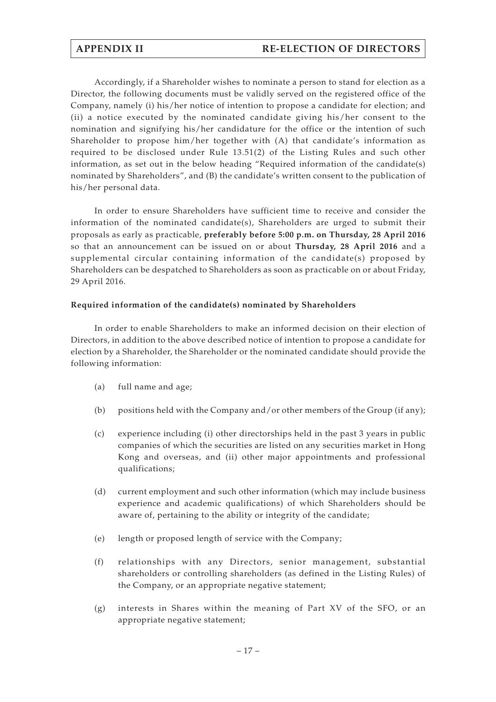Accordingly, if a Shareholder wishes to nominate a person to stand for election as a Director, the following documents must be validly served on the registered office of the Company, namely (i) his/her notice of intention to propose a candidate for election; and (ii) a notice executed by the nominated candidate giving his/her consent to the nomination and signifying his/her candidature for the office or the intention of such Shareholder to propose him/her together with (A) that candidate's information as required to be disclosed under Rule 13.51(2) of the Listing Rules and such other information, as set out in the below heading "Required information of the candidate(s) nominated by Shareholders", and (B) the candidate's written consent to the publication of his/her personal data.

In order to ensure Shareholders have sufficient time to receive and consider the information of the nominated candidate(s), Shareholders are urged to submit their proposals as early as practicable, **preferably before 5:00 p.m. on Thursday, 28 April 2016** so that an announcement can be issued on or about **Thursday, 28 April 2016** and a supplemental circular containing information of the candidate(s) proposed by Shareholders can be despatched to Shareholders as soon as practicable on or about Friday, 29 April 2016.

### **Required information of the candidate(s) nominated by Shareholders**

In order to enable Shareholders to make an informed decision on their election of Directors, in addition to the above described notice of intention to propose a candidate for election by a Shareholder, the Shareholder or the nominated candidate should provide the following information:

- (a) full name and age;
- (b) positions held with the Company and/or other members of the Group (if any);
- (c) experience including (i) other directorships held in the past 3 years in public companies of which the securities are listed on any securities market in Hong Kong and overseas, and (ii) other major appointments and professional qualifications;
- (d) current employment and such other information (which may include business experience and academic qualifications) of which Shareholders should be aware of, pertaining to the ability or integrity of the candidate;
- (e) length or proposed length of service with the Company;
- (f) relationships with any Directors, senior management, substantial shareholders or controlling shareholders (as defined in the Listing Rules) of the Company, or an appropriate negative statement;
- (g) interests in Shares within the meaning of Part XV of the SFO, or an appropriate negative statement;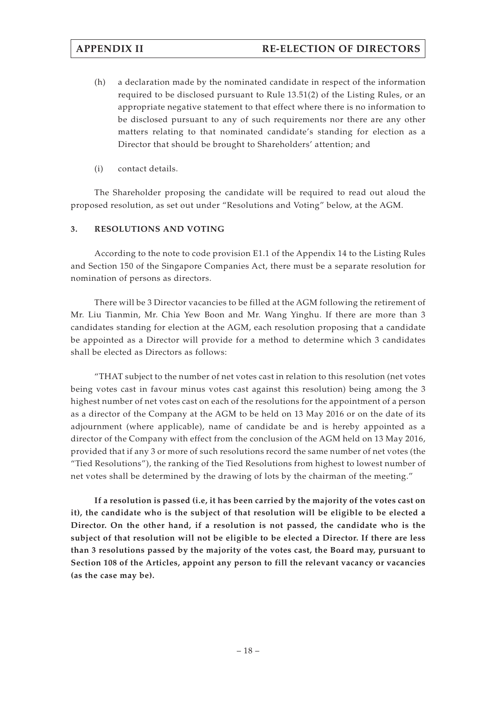- (h) a declaration made by the nominated candidate in respect of the information required to be disclosed pursuant to Rule 13.51(2) of the Listing Rules, or an appropriate negative statement to that effect where there is no information to be disclosed pursuant to any of such requirements nor there are any other matters relating to that nominated candidate's standing for election as a Director that should be brought to Shareholders' attention; and
- (i) contact details.

The Shareholder proposing the candidate will be required to read out aloud the proposed resolution, as set out under "Resolutions and Voting" below, at the AGM.

### **3. RESOLUTIONS AND VOTING**

According to the note to code provision E1.1 of the Appendix 14 to the Listing Rules and Section 150 of the Singapore Companies Act, there must be a separate resolution for nomination of persons as directors.

There will be 3 Director vacancies to be filled at the AGM following the retirement of Mr. Liu Tianmin, Mr. Chia Yew Boon and Mr. Wang Yinghu. If there are more than 3 candidates standing for election at the AGM, each resolution proposing that a candidate be appointed as a Director will provide for a method to determine which 3 candidates shall be elected as Directors as follows:

"THAT subject to the number of net votes cast in relation to this resolution (net votes being votes cast in favour minus votes cast against this resolution) being among the 3 highest number of net votes cast on each of the resolutions for the appointment of a person as a director of the Company at the AGM to be held on 13 May 2016 or on the date of its adjournment (where applicable), name of candidate be and is hereby appointed as a director of the Company with effect from the conclusion of the AGM held on 13 May 2016, provided that if any 3 or more of such resolutions record the same number of net votes (the "Tied Resolutions"), the ranking of the Tied Resolutions from highest to lowest number of net votes shall be determined by the drawing of lots by the chairman of the meeting."

**If a resolution is passed (i.e, it has been carried by the majority of the votes cast on it), the candidate who is the subject of that resolution will be eligible to be elected a Director. On the other hand, if a resolution is not passed, the candidate who is the subject of that resolution will not be eligible to be elected a Director. If there are less than 3 resolutions passed by the majority of the votes cast, the Board may, pursuant to Section 108 of the Articles, appoint any person to fill the relevant vacancy or vacancies (as the case may be).**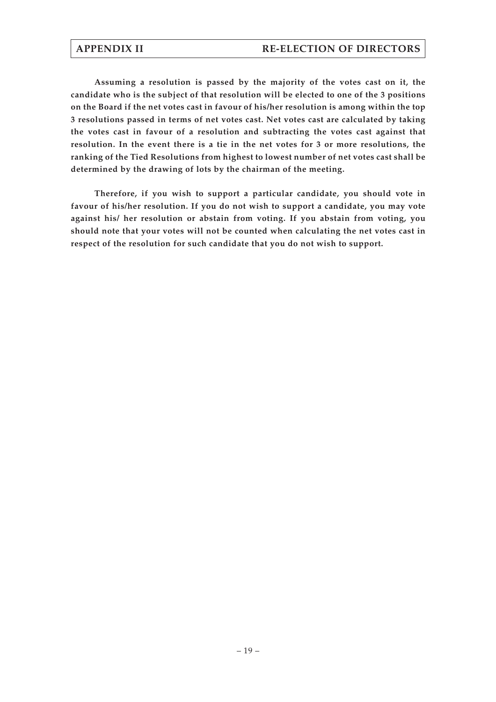**Assuming a resolution is passed by the majority of the votes cast on it, the candidate who is the subject of that resolution will be elected to one of the 3 positions on the Board if the net votes cast in favour of his/her resolution is among within the top 3 resolutions passed in terms of net votes cast. Net votes cast are calculated by taking the votes cast in favour of a resolution and subtracting the votes cast against that resolution. In the event there is a tie in the net votes for 3 or more resolutions, the ranking of the Tied Resolutions from highest to lowest number of net votes cast shall be determined by the drawing of lots by the chairman of the meeting.**

**Therefore, if you wish to support a particular candidate, you should vote in favour of his/her resolution. If you do not wish to support a candidate, you may vote against his/ her resolution or abstain from voting. If you abstain from voting, you should note that your votes will not be counted when calculating the net votes cast in respect of the resolution for such candidate that you do not wish to support.**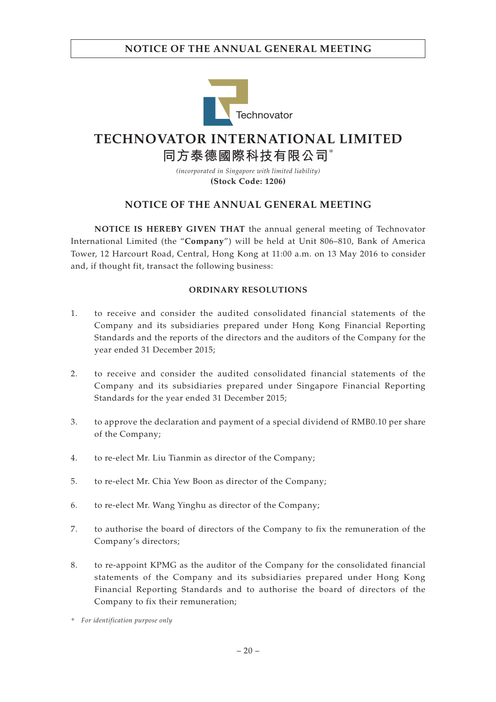

# **TECHNOVATOR INTERNATIONAL LIMITED**

**同方泰德國際科技有限公司**\*

*(incorporated in Singapore with limited liability)* **(Stock Code: 1206)**

# **NOTICE OF THE ANNUAL GENERAL MEETING**

**NOTICE IS HEREBY GIVEN THAT** the annual general meeting of Technovator International Limited (the "**Company**") will be held at Unit 806–810, Bank of America Tower, 12 Harcourt Road, Central, Hong Kong at 11:00 a.m. on 13 May 2016 to consider and, if thought fit, transact the following business:

### **ORDINARY RESOLUTIONS**

- 1. to receive and consider the audited consolidated financial statements of the Company and its subsidiaries prepared under Hong Kong Financial Reporting Standards and the reports of the directors and the auditors of the Company for the year ended 31 December 2015;
- 2. to receive and consider the audited consolidated financial statements of the Company and its subsidiaries prepared under Singapore Financial Reporting Standards for the year ended 31 December 2015;
- 3. to approve the declaration and payment of a special dividend of RMB0.10 per share of the Company;
- 4. to re-elect Mr. Liu Tianmin as director of the Company;
- 5. to re-elect Mr. Chia Yew Boon as director of the Company;
- 6. to re-elect Mr. Wang Yinghu as director of the Company;
- 7. to authorise the board of directors of the Company to fix the remuneration of the Company's directors;
- 8. to re-appoint KPMG as the auditor of the Company for the consolidated financial statements of the Company and its subsidiaries prepared under Hong Kong Financial Reporting Standards and to authorise the board of directors of the Company to fix their remuneration;

*<sup>\*</sup> For identification purpose only*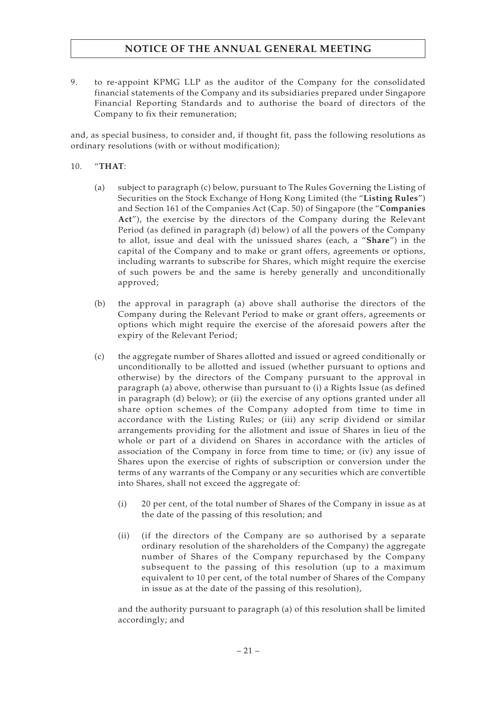9. to re-appoint KPMG LLP as the auditor of the Company for the consolidated financial statements of the Company and its subsidiaries prepared under Singapore Financial Reporting Standards and to authorise the board of directors of the Company to fix their remuneration;

and, as special business, to consider and, if thought fit, pass the following resolutions as ordinary resolutions (with or without modification);

### 10. "**THAT**:

- (a) subject to paragraph (c) below, pursuant to The Rules Governing the Listing of Securities on the Stock Exchange of Hong Kong Limited (the "**Listing Rules**") and Section 161 of the Companies Act (Cap. 50) of Singapore (the "**Companies Act**"), the exercise by the directors of the Company during the Relevant Period (as defined in paragraph (d) below) of all the powers of the Company to allot, issue and deal with the unissued shares (each, a "**Share**") in the capital of the Company and to make or grant offers, agreements or options, including warrants to subscribe for Shares, which might require the exercise of such powers be and the same is hereby generally and unconditionally approved;
- (b) the approval in paragraph (a) above shall authorise the directors of the Company during the Relevant Period to make or grant offers, agreements or options which might require the exercise of the aforesaid powers after the expiry of the Relevant Period;
- (c) the aggregate number of Shares allotted and issued or agreed conditionally or unconditionally to be allotted and issued (whether pursuant to options and otherwise) by the directors of the Company pursuant to the approval in paragraph (a) above, otherwise than pursuant to (i) a Rights Issue (as defined in paragraph (d) below); or (ii) the exercise of any options granted under all share option schemes of the Company adopted from time to time in accordance with the Listing Rules; or (iii) any scrip dividend or similar arrangements providing for the allotment and issue of Shares in lieu of the whole or part of a dividend on Shares in accordance with the articles of association of the Company in force from time to time; or (iv) any issue of Shares upon the exercise of rights of subscription or conversion under the terms of any warrants of the Company or any securities which are convertible into Shares, shall not exceed the aggregate of:
	- (i) 20 per cent, of the total number of Shares of the Company in issue as at the date of the passing of this resolution; and
	- (ii) (if the directors of the Company are so authorised by a separate ordinary resolution of the shareholders of the Company) the aggregate number of Shares of the Company repurchased by the Company subsequent to the passing of this resolution (up to a maximum equivalent to 10 per cent, of the total number of Shares of the Company in issue as at the date of the passing of this resolution),

and the authority pursuant to paragraph (a) of this resolution shall be limited accordingly; and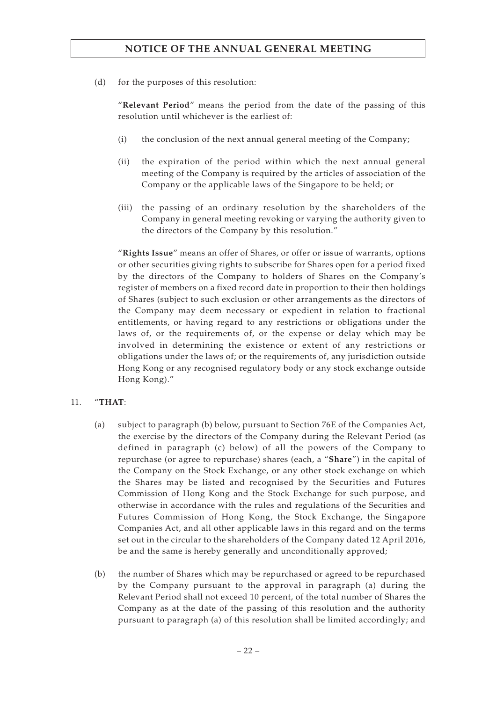(d) for the purposes of this resolution:

"**Relevant Period**" means the period from the date of the passing of this resolution until whichever is the earliest of:

- (i) the conclusion of the next annual general meeting of the Company;
- (ii) the expiration of the period within which the next annual general meeting of the Company is required by the articles of association of the Company or the applicable laws of the Singapore to be held; or
- (iii) the passing of an ordinary resolution by the shareholders of the Company in general meeting revoking or varying the authority given to the directors of the Company by this resolution."

"**Rights Issue**" means an offer of Shares, or offer or issue of warrants, options or other securities giving rights to subscribe for Shares open for a period fixed by the directors of the Company to holders of Shares on the Company's register of members on a fixed record date in proportion to their then holdings of Shares (subject to such exclusion or other arrangements as the directors of the Company may deem necessary or expedient in relation to fractional entitlements, or having regard to any restrictions or obligations under the laws of, or the requirements of, or the expense or delay which may be involved in determining the existence or extent of any restrictions or obligations under the laws of; or the requirements of, any jurisdiction outside Hong Kong or any recognised regulatory body or any stock exchange outside Hong Kong)."

### 11. "**THAT**:

- (a) subject to paragraph (b) below, pursuant to Section 76E of the Companies Act, the exercise by the directors of the Company during the Relevant Period (as defined in paragraph (c) below) of all the powers of the Company to repurchase (or agree to repurchase) shares (each, a "**Share**") in the capital of the Company on the Stock Exchange, or any other stock exchange on which the Shares may be listed and recognised by the Securities and Futures Commission of Hong Kong and the Stock Exchange for such purpose, and otherwise in accordance with the rules and regulations of the Securities and Futures Commission of Hong Kong, the Stock Exchange, the Singapore Companies Act, and all other applicable laws in this regard and on the terms set out in the circular to the shareholders of the Company dated 12 April 2016, be and the same is hereby generally and unconditionally approved;
- (b) the number of Shares which may be repurchased or agreed to be repurchased by the Company pursuant to the approval in paragraph (a) during the Relevant Period shall not exceed 10 percent, of the total number of Shares the Company as at the date of the passing of this resolution and the authority pursuant to paragraph (a) of this resolution shall be limited accordingly; and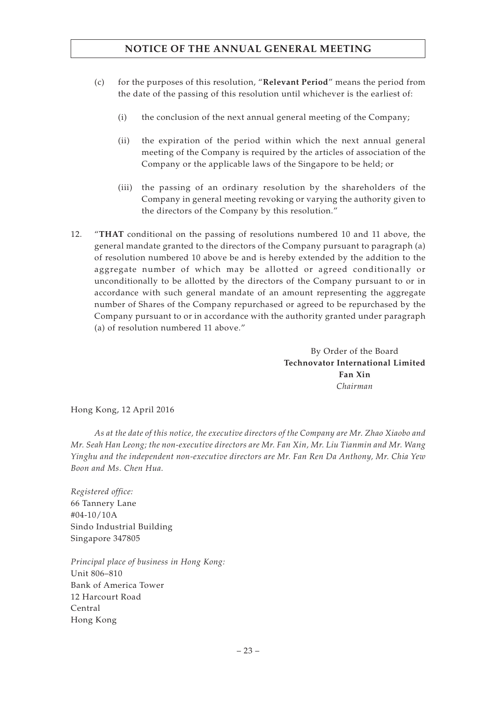- (c) for the purposes of this resolution, "**Relevant Period**" means the period from the date of the passing of this resolution until whichever is the earliest of:
	- (i) the conclusion of the next annual general meeting of the Company;
	- (ii) the expiration of the period within which the next annual general meeting of the Company is required by the articles of association of the Company or the applicable laws of the Singapore to be held; or
	- (iii) the passing of an ordinary resolution by the shareholders of the Company in general meeting revoking or varying the authority given to the directors of the Company by this resolution."
- 12. "**THAT** conditional on the passing of resolutions numbered 10 and 11 above, the general mandate granted to the directors of the Company pursuant to paragraph (a) of resolution numbered 10 above be and is hereby extended by the addition to the aggregate number of which may be allotted or agreed conditionally or unconditionally to be allotted by the directors of the Company pursuant to or in accordance with such general mandate of an amount representing the aggregate number of Shares of the Company repurchased or agreed to be repurchased by the Company pursuant to or in accordance with the authority granted under paragraph (a) of resolution numbered 11 above."

By Order of the Board **Technovator International Limited Fan Xin** *Chairman*

Hong Kong, 12 April 2016

*As at the date of this notice, the executive directors of the Company are Mr. Zhao Xiaobo and Mr. Seah Han Leong; the non-executive directors are Mr. Fan Xin, Mr. Liu Tianmin and Mr. Wang Yinghu and the independent non-executive directors are Mr. Fan Ren Da Anthony, Mr. Chia Yew Boon and Ms. Chen Hua.*

*Registered office:* 66 Tannery Lane #04-10/10A Sindo Industrial Building Singapore 347805

*Principal place of business in Hong Kong:* Unit 806–810 Bank of America Tower 12 Harcourt Road Central Hong Kong